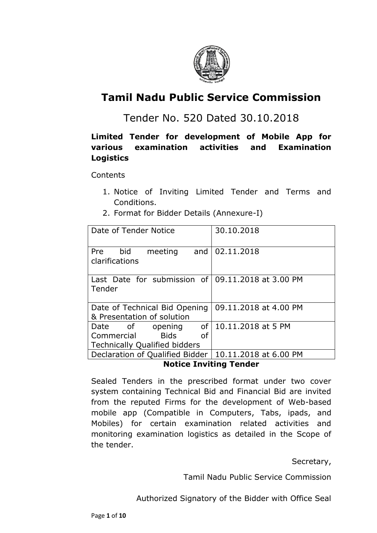

# **Tamil Nadu Public Service Commission**

## Tender No. 520 Dated 30.10.2018

## **Limited Tender for development of Mobile App for various examination activities and Examination Logistics**

**Contents** 

- 1. Notice of Inviting Limited Tender and Terms and Conditions.
- 2. Format for Bidder Details (Annexure-I)

| Date of Tender Notice                                               | 30.10.2018              |  |
|---------------------------------------------------------------------|-------------------------|--|
| bid<br><b>Pre</b><br>meeting<br>clarifications                      | and   02.11.2018        |  |
| Last Date for submission of $\vert$ 09.11.2018 at 3.00 PM<br>Tender |                         |  |
| Date of Technical Bid Opening<br>& Presentation of solution         | 09.11.2018 at 4.00 PM   |  |
| Date of<br>opening                                                  | of   10.11.2018 at 5 PM |  |
| <b>Bids</b><br>Commercial<br>0f                                     |                         |  |
| <b>Technically Qualified bidders</b>                                |                         |  |
| Declaration of Qualified Bidder   10.11.2018 at 6.00 PM             |                         |  |

#### **Notice Inviting Tender**

Sealed Tenders in the prescribed format under two cover system containing Technical Bid and Financial Bid are invited from the reputed Firms for the development of Web-based mobile app (Compatible in Computers, Tabs, ipads, and Mobiles) for certain examination related activities and monitoring examination logistics as detailed in the Scope of the tender.

Secretary,

Tamil Nadu Public Service Commission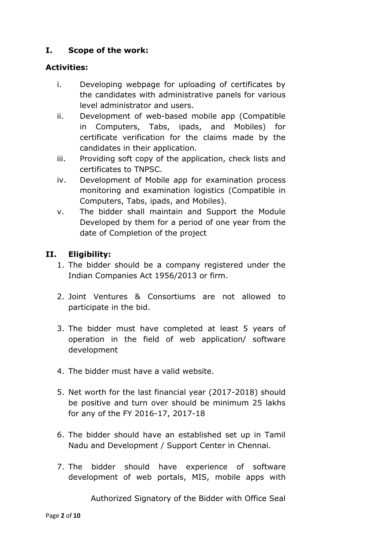## **I. Scope of the work:**

#### **Activities:**

- i. Developing webpage for uploading of certificates by the candidates with administrative panels for various level administrator and users.
- ii. Development of web-based mobile app (Compatible in Computers, Tabs, ipads, and Mobiles) for certificate verification for the claims made by the candidates in their application.
- iii. Providing soft copy of the application, check lists and certificates to TNPSC.
- iv. Development of Mobile app for examination process monitoring and examination logistics (Compatible in Computers, Tabs, ipads, and Mobiles).
- v. The bidder shall maintain and Support the Module Developed by them for a period of one year from the date of Completion of the project

## **II. Eligibility:**

- 1. The bidder should be a company registered under the Indian Companies Act 1956/2013 or firm.
- 2. Joint Ventures & Consortiums are not allowed to participate in the bid.
- 3. The bidder must have completed at least 5 years of operation in the field of web application/ software development
- 4. The bidder must have a valid website.
- 5. Net worth for the last financial year (2017-2018) should be positive and turn over should be minimum 25 lakhs for any of the FY 2016-17, 2017-18
- 6. The bidder should have an established set up in Tamil Nadu and Development / Support Center in Chennai.
- 7. The bidder should have experience of software development of web portals, MIS, mobile apps with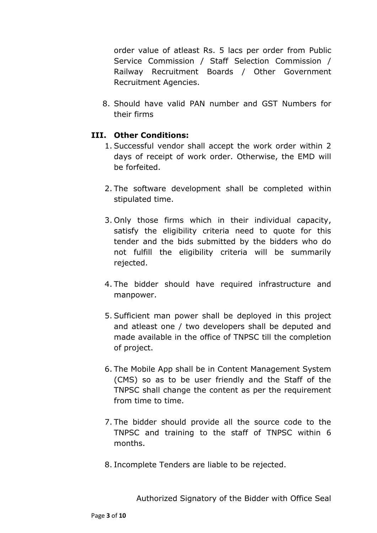order value of atleast Rs. 5 lacs per order from Public Service Commission / Staff Selection Commission / Railway Recruitment Boards / Other Government Recruitment Agencies.

8. Should have valid PAN number and GST Numbers for their firms

#### **III. Other Conditions:**

- 1. Successful vendor shall accept the work order within 2 days of receipt of work order. Otherwise, the EMD will be forfeited.
- 2. The software development shall be completed within stipulated time.
- 3. Only those firms which in their individual capacity, satisfy the eligibility criteria need to quote for this tender and the bids submitted by the bidders who do not fulfill the eligibility criteria will be summarily rejected.
- 4. The bidder should have required infrastructure and manpower.
- 5. Sufficient man power shall be deployed in this project and atleast one / two developers shall be deputed and made available in the office of TNPSC till the completion of project.
- 6. The Mobile App shall be in Content Management System (CMS) so as to be user friendly and the Staff of the TNPSC shall change the content as per the requirement from time to time.
- 7. The bidder should provide all the source code to the TNPSC and training to the staff of TNPSC within 6 months.
- 8. Incomplete Tenders are liable to be rejected.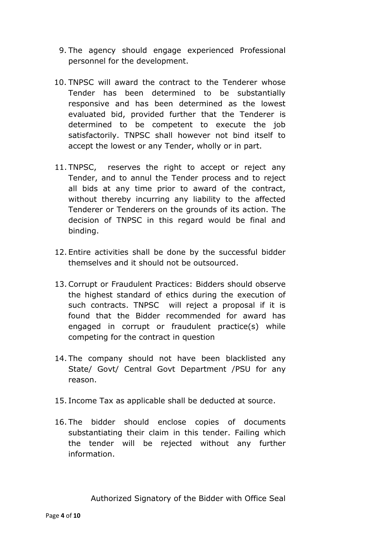- 9. The agency should engage experienced Professional personnel for the development.
- 10. TNPSC will award the contract to the Tenderer whose Tender has been determined to be substantially responsive and has been determined as the lowest evaluated bid, provided further that the Tenderer is determined to be competent to execute the job satisfactorily. TNPSC shall however not bind itself to accept the lowest or any Tender, wholly or in part.
- 11. TNPSC, reserves the right to accept or reject any Tender, and to annul the Tender process and to reject all bids at any time prior to award of the contract, without thereby incurring any liability to the affected Tenderer or Tenderers on the grounds of its action. The decision of TNPSC in this regard would be final and binding.
- 12. Entire activities shall be done by the successful bidder themselves and it should not be outsourced.
- 13. Corrupt or Fraudulent Practices: Bidders should observe the highest standard of ethics during the execution of such contracts. TNPSC will reject a proposal if it is found that the Bidder recommended for award has engaged in corrupt or fraudulent practice(s) while competing for the contract in question
- 14. The company should not have been blacklisted any State/ Govt/ Central Govt Department /PSU for any reason.
- 15. Income Tax as applicable shall be deducted at source.
- 16. The bidder should enclose copies of documents substantiating their claim in this tender. Failing which the tender will be rejected without any further information.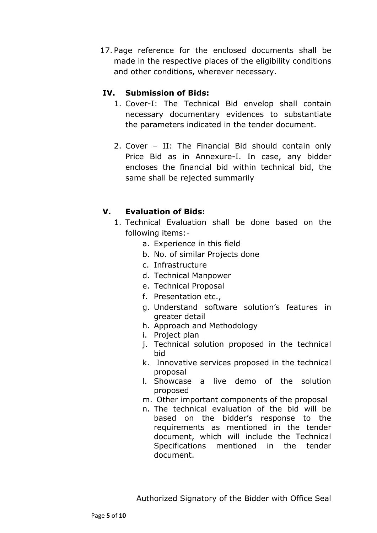17. Page reference for the enclosed documents shall be made in the respective places of the eligibility conditions and other conditions, wherever necessary.

## **IV. Submission of Bids:**

- 1. Cover-I: The Technical Bid envelop shall contain necessary documentary evidences to substantiate the parameters indicated in the tender document.
- 2. Cover II: The Financial Bid should contain only Price Bid as in Annexure-I. In case, any bidder encloses the financial bid within technical bid, the same shall be rejected summarily

## **V. Evaluation of Bids:**

- 1. Technical Evaluation shall be done based on the following items:
	- a. Experience in this field
	- b. No. of similar Projects done
	- c. Infrastructure
	- d. Technical Manpower
	- e. Technical Proposal
	- f. Presentation etc.,
	- g. Understand software solution's features in greater detail
	- h. Approach and Methodology
	- i. Project plan
	- j. Technical solution proposed in the technical bid
	- k. Innovative services proposed in the technical proposal
	- l. Showcase a live demo of the solution proposed
	- m. Other important components of the proposal
	- n. The technical evaluation of the bid will be based on the bidder's response to the requirements as mentioned in the tender document, which will include the Technical Specifications mentioned in the tender document.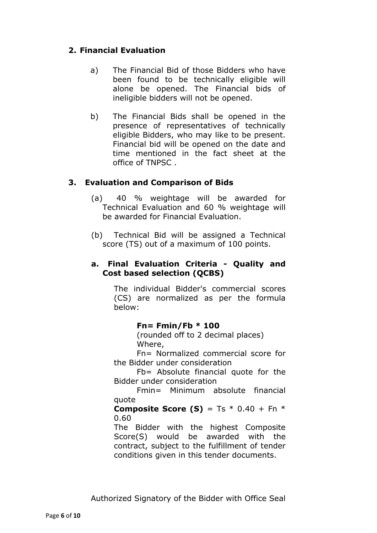## **2. Financial Evaluation**

- a) The Financial Bid of those Bidders who have been found to be technically eligible will alone be opened. The Financial bids of ineligible bidders will not be opened.
- b) The Financial Bids shall be opened in the presence of representatives of technically eligible Bidders, who may like to be present. Financial bid will be opened on the date and time mentioned in the fact sheet at the office of TNPSC .

## **3. Evaluation and Comparison of Bids**

- (a) 40 % weightage will be awarded for Technical Evaluation and 60 % weightage will be awarded for Financial Evaluation.
- (b) Technical Bid will be assigned a Technical score (TS) out of a maximum of 100 points.

#### **a. Final Evaluation Criteria - Quality and Cost based selection (QCBS)**

The individual Bidder's commercial scores (CS) are normalized as per the formula below:

#### **Fn= Fmin/Fb \* 100**

(rounded off to 2 decimal places) Where,

Fn= Normalized commercial score for the Bidder under consideration

Fb= Absolute financial quote for the Bidder under consideration

Fmin= Minimum absolute financial quote

#### **Composite Score (S)** = Ts  $*$  0.40 + Fn  $*$ 0.60

The Bidder with the highest Composite Score(S) would be awarded with the contract, subject to the fulfillment of tender conditions given in this tender documents.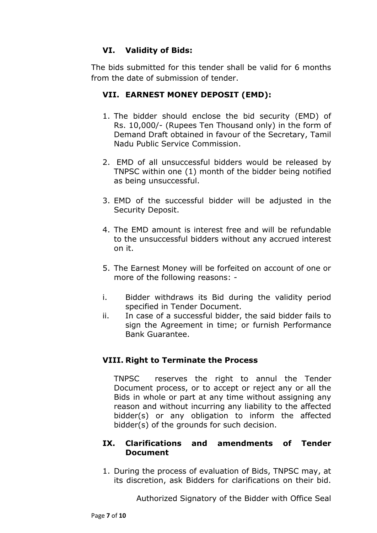## **VI. Validity of Bids:**

The bids submitted for this tender shall be valid for 6 months from the date of submission of tender.

## **VII. EARNEST MONEY DEPOSIT (EMD):**

- 1. The bidder should enclose the bid security (EMD) of Rs. 10,000/- (Rupees Ten Thousand only) in the form of Demand Draft obtained in favour of the Secretary, Tamil Nadu Public Service Commission.
- 2. EMD of all unsuccessful bidders would be released by TNPSC within one (1) month of the bidder being notified as being unsuccessful.
- 3. EMD of the successful bidder will be adjusted in the Security Deposit.
- 4. The EMD amount is interest free and will be refundable to the unsuccessful bidders without any accrued interest on it.
- 5. The Earnest Money will be forfeited on account of one or more of the following reasons: -
- i. Bidder withdraws its Bid during the validity period specified in Tender Document.
- ii. In case of a successful bidder, the said bidder fails to sign the Agreement in time; or furnish Performance Bank Guarantee.

## **VIII. Right to Terminate the Process**

TNPSC reserves the right to annul the Tender Document process, or to accept or reject any or all the Bids in whole or part at any time without assigning any reason and without incurring any liability to the affected bidder(s) or any obligation to inform the affected bidder(s) of the grounds for such decision.

#### **IX. Clarifications and amendments of Tender Document**

1. During the process of evaluation of Bids, TNPSC may, at its discretion, ask Bidders for clarifications on their bid.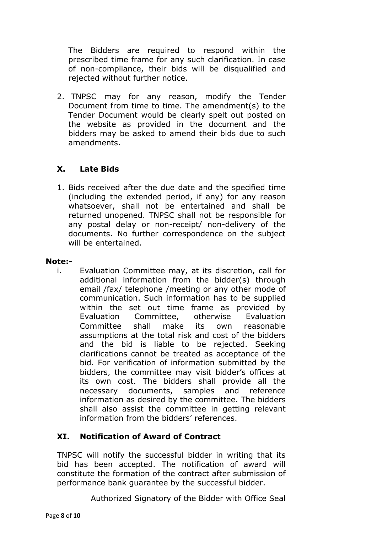The Bidders are required to respond within the prescribed time frame for any such clarification. In case of non-compliance, their bids will be disqualified and rejected without further notice.

2. TNPSC may for any reason, modify the Tender Document from time to time. The amendment(s) to the Tender Document would be clearly spelt out posted on the website as provided in the document and the bidders may be asked to amend their bids due to such amendments.

## **X. Late Bids**

1. Bids received after the due date and the specified time (including the extended period, if any) for any reason whatsoever, shall not be entertained and shall be returned unopened. TNPSC shall not be responsible for any postal delay or non-receipt/ non-delivery of the documents. No further correspondence on the subject will be entertained.

#### **Note:-**

i. Evaluation Committee may, at its discretion, call for additional information from the bidder(s) through email /fax/ telephone /meeting or any other mode of communication. Such information has to be supplied within the set out time frame as provided by Evaluation Committee, otherwise Evaluation Committee shall make its own reasonable assumptions at the total risk and cost of the bidders and the bid is liable to be rejected. Seeking clarifications cannot be treated as acceptance of the bid. For verification of information submitted by the bidders, the committee may visit bidder's offices at its own cost. The bidders shall provide all the necessary documents, samples and reference information as desired by the committee. The bidders shall also assist the committee in getting relevant information from the bidders' references.

## **XI. Notification of Award of Contract**

TNPSC will notify the successful bidder in writing that its bid has been accepted. The notification of award will constitute the formation of the contract after submission of performance bank guarantee by the successful bidder.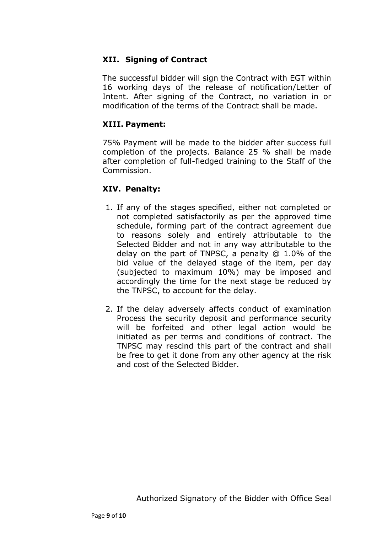#### **XII. Signing of Contract**

The successful bidder will sign the Contract with EGT within 16 working days of the release of notification/Letter of Intent. After signing of the Contract, no variation in or modification of the terms of the Contract shall be made.

#### **XIII. Payment:**

75% Payment will be made to the bidder after success full completion of the projects. Balance 25 % shall be made after completion of full-fledged training to the Staff of the Commission.

#### **XIV. Penalty:**

- 1. If any of the stages specified, either not completed or not completed satisfactorily as per the approved time schedule, forming part of the contract agreement due to reasons solely and entirely attributable to the Selected Bidder and not in any way attributable to the delay on the part of TNPSC, a penalty @ 1.0% of the bid value of the delayed stage of the item, per day (subjected to maximum 10%) may be imposed and accordingly the time for the next stage be reduced by the TNPSC, to account for the delay.
- 2. If the delay adversely affects conduct of examination Process the security deposit and performance security will be forfeited and other legal action would be initiated as per terms and conditions of contract. The TNPSC may rescind this part of the contract and shall be free to get it done from any other agency at the risk and cost of the Selected Bidder.